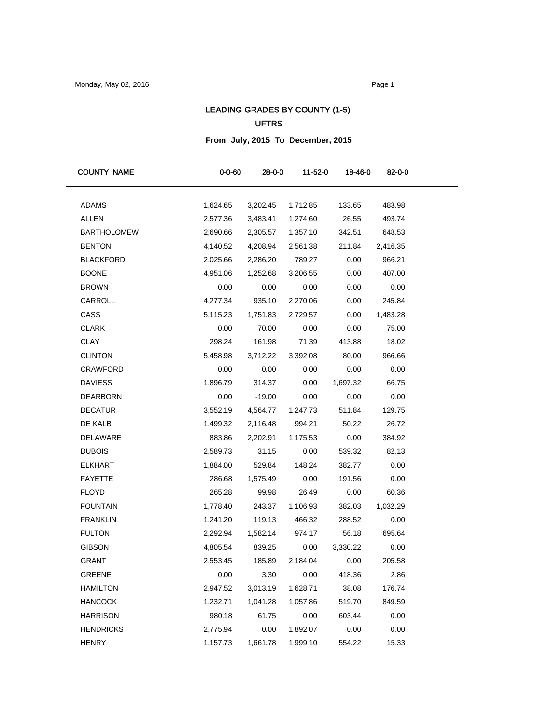# LEADING GRADES BY COUNTY (1-5) UFTRS

## **From July, 2015 To December, 2015**

| <b>COUNTY NAME</b> | $0 - 0 - 60$ | 28-0-0   | 11-52-0   | 18-46-0  | 82-0-0   |
|--------------------|--------------|----------|-----------|----------|----------|
| <b>ADAMS</b>       | 1,624.65     | 3,202.45 | 1,712.85  | 133.65   | 483.98   |
| ALLEN              | 2,577.36     | 3,483.41 | 1,274.60  | 26.55    | 493.74   |
| <b>BARTHOLOMEW</b> | 2,690.66     | 2,305.57 | 1,357.10  | 342.51   | 648.53   |
| <b>BENTON</b>      | 4,140.52     | 4,208.94 | 2,561.38  | 211.84   | 2,416.35 |
| <b>BLACKFORD</b>   | 2,025.66     | 2,286.20 | 789.27    | 0.00     | 966.21   |
| <b>BOONE</b>       | 4,951.06     | 1,252.68 | 3,206.55  | 0.00     | 407.00   |
| <b>BROWN</b>       | 0.00         | 0.00     | 0.00      | 0.00     | 0.00     |
| CARROLL            | 4,277.34     | 935.10   | 2,270.06  | 0.00     | 245.84   |
| CASS               | 5,115.23     | 1,751.83 | 2,729.57  | 0.00     | 1,483.28 |
| <b>CLARK</b>       | 0.00         | 70.00    | 0.00      | 0.00     | 75.00    |
| <b>CLAY</b>        | 298.24       | 161.98   | 71.39     | 413.88   | 18.02    |
| <b>CLINTON</b>     | 5,458.98     | 3,712.22 | 3,392.08  | 80.00    | 966.66   |
| CRAWFORD           | 0.00         | 0.00     | 0.00      | 0.00     | 0.00     |
| <b>DAVIESS</b>     | 1,896.79     | 314.37   | 0.00      | 1,697.32 | 66.75    |
| <b>DEARBORN</b>    | 0.00         | $-19.00$ | 0.00      | 0.00     | 0.00     |
| <b>DECATUR</b>     | 3,552.19     | 4,564.77 | 1,247.73  | 511.84   | 129.75   |
| DE KALB            | 1,499.32     | 2,116.48 | 994.21    | 50.22    | 26.72    |
| DELAWARE           | 883.86       | 2,202.91 | 1,175.53  | 0.00     | 384.92   |
| <b>DUBOIS</b>      | 2,589.73     | 31.15    | 0.00      | 539.32   | 82.13    |
| <b>ELKHART</b>     | 1,884.00     | 529.84   | 148.24    | 382.77   | 0.00     |
| <b>FAYETTE</b>     | 286.68       | 1,575.49 | 0.00      | 191.56   | 0.00     |
| <b>FLOYD</b>       | 265.28       | 99.98    | 26.49     | 0.00     | 60.36    |
| <b>FOUNTAIN</b>    | 1,778.40     | 243.37   | 1,106.93  | 382.03   | 1,032.29 |
| <b>FRANKLIN</b>    | 1,241.20     | 119.13   | 466.32    | 288.52   | 0.00     |
| <b>FULTON</b>      | 2,292.94     | 1,582.14 | 974.17    | 56.18    | 695.64   |
| <b>GIBSON</b>      | 4,805.54     | 839.25   | 0.00      | 3,330.22 | 0.00     |
| GRANT              | 2,553.45     | 185.89   | 2,184.04  | 0.00     | 205.58   |
| <b>GREENE</b>      | 0.00         |          | 3.30 0.00 | 418.36   | 2.86     |
| HAMILTON           | 2,947.52     | 3,013.19 | 1,628.71  | 38.08    | 176.74   |
| <b>HANCOCK</b>     | 1,232.71     | 1,041.28 | 1,057.86  | 519.70   | 849.59   |
| <b>HARRISON</b>    | 980.18       | 61.75    | 0.00      | 603.44   | 0.00     |
| <b>HENDRICKS</b>   | 2,775.94     | 0.00     | 1,892.07  | 0.00     | 0.00     |
| <b>HENRY</b>       | 1,157.73     | 1,661.78 | 1,999.10  | 554.22   | 15.33    |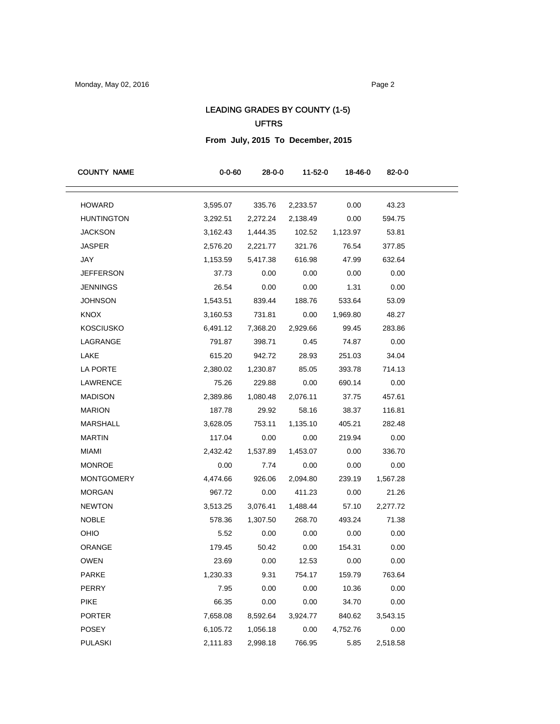# LEADING GRADES BY COUNTY (1-5) UFTRS

**From July, 2015 To December, 2015**

| <b>COUNTY NAME</b> | $0 - 0 - 60$ | 28-0-0   | 11-52-0  | 18-46-0  | 82-0-0   |
|--------------------|--------------|----------|----------|----------|----------|
| <b>HOWARD</b>      | 3,595.07     | 335.76   | 2,233.57 | 0.00     | 43.23    |
| <b>HUNTINGTON</b>  | 3,292.51     | 2,272.24 | 2,138.49 | 0.00     | 594.75   |
| <b>JACKSON</b>     | 3,162.43     | 1,444.35 | 102.52   | 1,123.97 | 53.81    |
| <b>JASPER</b>      | 2,576.20     | 2,221.77 | 321.76   | 76.54    | 377.85   |
| JAY                | 1,153.59     | 5,417.38 | 616.98   | 47.99    | 632.64   |
| <b>JEFFERSON</b>   | 37.73        | 0.00     | 0.00     | 0.00     | 0.00     |
| <b>JENNINGS</b>    | 26.54        | 0.00     | 0.00     | 1.31     | 0.00     |
| <b>JOHNSON</b>     | 1,543.51     | 839.44   | 188.76   | 533.64   | 53.09    |
| <b>KNOX</b>        | 3,160.53     | 731.81   | 0.00     | 1,969.80 | 48.27    |
| <b>KOSCIUSKO</b>   | 6,491.12     | 7,368.20 | 2,929.66 | 99.45    | 283.86   |
| LAGRANGE           | 791.87       | 398.71   | 0.45     | 74.87    | 0.00     |
| LAKE               | 615.20       | 942.72   | 28.93    | 251.03   | 34.04    |
| LA PORTE           | 2,380.02     | 1,230.87 | 85.05    | 393.78   | 714.13   |
| <b>LAWRENCE</b>    | 75.26        | 229.88   | 0.00     | 690.14   | 0.00     |
| <b>MADISON</b>     | 2,389.86     | 1,080.48 | 2,076.11 | 37.75    | 457.61   |
| <b>MARION</b>      | 187.78       | 29.92    | 58.16    | 38.37    | 116.81   |
| MARSHALL           | 3,628.05     | 753.11   | 1,135.10 | 405.21   | 282.48   |
| <b>MARTIN</b>      | 117.04       | 0.00     | 0.00     | 219.94   | 0.00     |
| <b>MIAMI</b>       | 2,432.42     | 1,537.89 | 1,453.07 | 0.00     | 336.70   |
| <b>MONROE</b>      | 0.00         | 7.74     | 0.00     | 0.00     | 0.00     |
| <b>MONTGOMERY</b>  | 4,474.66     | 926.06   | 2,094.80 | 239.19   | 1,567.28 |
| <b>MORGAN</b>      | 967.72       | 0.00     | 411.23   | 0.00     | 21.26    |
| <b>NEWTON</b>      | 3,513.25     | 3,076.41 | 1,488.44 | 57.10    | 2,277.72 |
| <b>NOBLE</b>       | 578.36       | 1,307.50 | 268.70   | 493.24   | 71.38    |
| OHIO               | 5.52         | 0.00     | 0.00     | 0.00     | 0.00     |
| ORANGE             | 179.45       | 50.42    | 0.00     | 154.31   | 0.00     |
| <b>OWEN</b>        | 23.69        | 0.00     | 12.53    | 0.00     | 0.00     |
| <b>PARKE</b>       | 1,230.33     | 9.31     | 754.17   | 159.79   | 763.64   |
| PERRY              | 7.95         | 0.00     | 0.00     | 10.36    | 0.00     |
| <b>PIKE</b>        | 66.35        | 0.00     | 0.00     | 34.70    | 0.00     |
| <b>PORTER</b>      | 7,658.08     | 8,592.64 | 3,924.77 | 840.62   | 3,543.15 |
| POSEY              | 6,105.72     | 1,056.18 | 0.00     | 4,752.76 | 0.00     |
| <b>PULASKI</b>     | 2,111.83     | 2,998.18 | 766.95   | 5.85     | 2,518.58 |